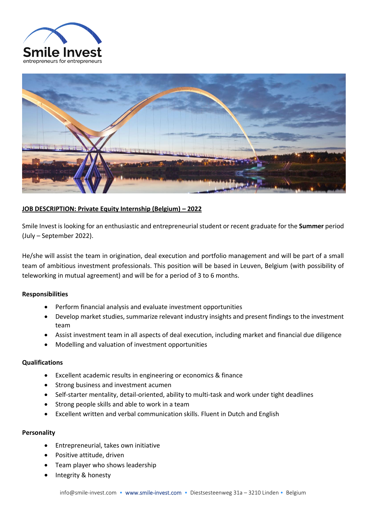



# **JOB DESCRIPTION: Private Equity Internship (Belgium) – 2022**

Smile Invest is looking for an enthusiastic and entrepreneurial student or recent graduate for the **Summer** period (July – September 2022).

He/she will assist the team in origination, deal execution and portfolio management and will be part of a small team of ambitious investment professionals. This position will be based in Leuven, Belgium (with possibility of teleworking in mutual agreement) and will be for a period of 3 to 6 months.

### **Responsibilities**

- Perform financial analysis and evaluate investment opportunities
- Develop market studies, summarize relevant industry insights and present findings to the investment team
- Assist investment team in all aspects of deal execution, including market and financial due diligence
- Modelling and valuation of investment opportunities

### **Qualifications**

- Excellent academic results in engineering or economics & finance
- Strong business and investment acumen
- Self-starter mentality, detail-oriented, ability to multi-task and work under tight deadlines
- Strong people skills and able to work in a team
- Excellent written and verbal communication skills. Fluent in Dutch and English

### **Personality**

- Entrepreneurial, takes own initiative
- Positive attitude, driven
- Team player who shows leadership
- Integrity & honesty